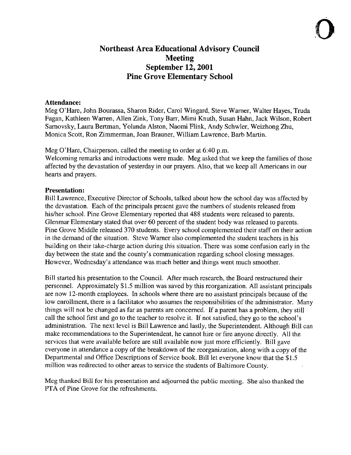# Northeast Area Educational Advisory Council Meeting September 12, 2001 Pine Grove Elementary School

#### Attendance:

Meg O'Hare, John Bourassa, Sharon Rider, Carol Wingard, Steve Warner, Walter Hayes, Truda Fagan, Kathleen Warren, Allen Zink, Tony Barr, Mimi Knuth, Susan Hahn, Jack Wilson, Robert Sarnovsky, Laura Bertman, Yolanda Alston, Naomi Flink, Andy Schwler, Weizhong Zhu, Monica Scott, Ron Zimmerman, Joan Brauner, William Lawrence, Barb Martin.

Meg O'Hare, Chairperson, called the meeting to order at 6.40 p.m. Welcoming remarks and introductions were made. Meg asked that we keep the families of those affected by the devastation of yesterday in our prayers . Also, that we keep all Americans in our

## Presentation:

hearts and prayers .

Bill Lawrence, Executive Director of Schools, talked about how the school day was affected by the devastation . Each of the principals present gave the numbers of students released from his/her school. Pine Grove Elementary reported that 488 students were released to parents. Glenmar Elementary stated that over 60 percent of the student body was released to parents . Pine Grove Middle released 370 students. Every school complemented their staff on their action in the demand of the situation. Steve Warner also complemented the student teachers in his building on their take-charge action during this situation . There was some confusion early in the day between the state and the county's communication regarding school closing messages . However, Wednesday's attendance was much better and things went much smoother.

Bill started his presentation to the Council. After much research, the Board restructured their personnel. Approximately \$1 .5 million was saved by this reorganization . All assistant principals are now 12-month employees. In schools where there are no assistant principals because of the low enrollment, there is a facilitator who assumes the responsibilities of the administrator. Many things will not be changed as far as parents are concerned . If a parent has a problem, they still call the school first and go to the teacher to resolve it. If not satisfied, they go to the school's administration. The next level is Bill Lawrence and lastly, the Superintendent . Although Bill can make recommendations to the Superintendent, he cannot hire or fire anyone directly. All the services that were available before are still available now just more efficiently. Bill gave everyone in attendance a copy of the breakdown of the reorganization, along with a copy of the Departmental and Office Descriptions of Service book. Bill let everyone know that the \$1 .5 million was redirected to other areas to service the students of Baltimore County.

Meg thanked Bill for his presentation and adjourned the public meeting. She also thanked the PTA of Pine Grove for the refreshments.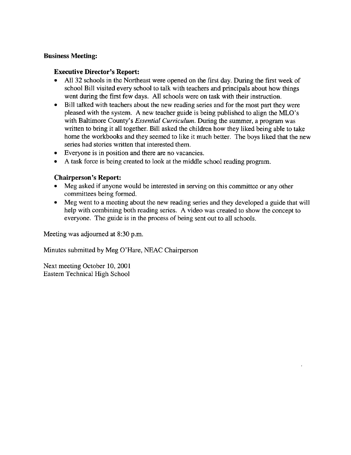## Business Meeting:

## Executive Director's Report:

- All 32 schools in the Northeast were opened on the first day. During the first week of school Bill visited every school to talk with teachers and principals about how things went during the first few days. All schools were on task with their instruction.
- Bill talked with teachers about the new reading series and for the most part they were pleased with the system. A new teacher guide is being published to align the MLO's with Baltimore County's *Essential Curriculum*. During the summer, a program was written to bring it all together. Bill asked the children how they liked being able to take home the workbooks and they seemed to like it much better. The boys liked that the new series had stories written that interested them.
- Everyone is in position and there are no vacancies.
- " A task force is being created to look at the middle school reading program.

## Chairperson's Report-

- Meg asked if anyone would be interested in serving on this committee or any other<br>committees being formed.<br>• Meg went to a meeting about the new reading series and they developed a guide that committees being formed.
- Meg went to a meeting about the new reading series and they developed a guide that will help with combining both reading series. A video was created to show the concept to everyone. The guide is in the process of being sent out to all schools.

Meeting was adjourned at 8:30 p.m.

Minutes submitted by Meg <sup>O</sup>'Hare, NEAC Chairperson

Next meeting October 10, 2001 Eastern Technical High School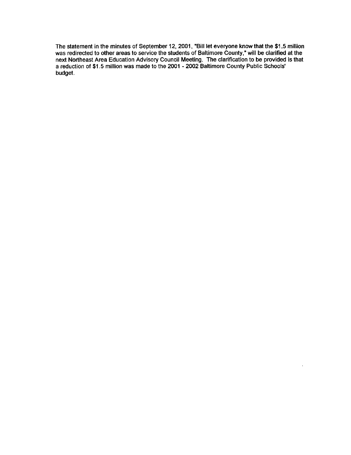The statement in the minutes of September 12, 2001, "Bill let everyone know that the \$1 .5 million was redirected to other areas to service the students of Baltimore County," will be clarified at the next Northeast Area Education Advisory Council Meeting . The clarification to be provided is that <sup>a</sup> reduction of \$1 .5 million was made to the 2001 - 2002 Baltimore County Public Schools' budget.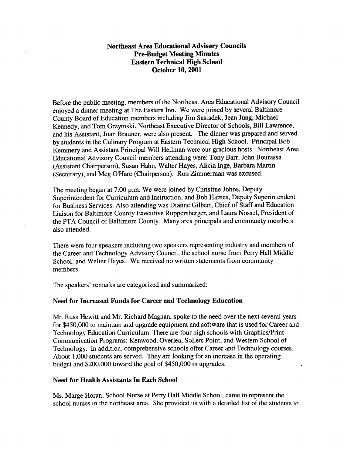#### Northeast Area Educational Advisory Councils Pre-Budget Meeting Minutes Eastern Technical High School October 10, 2001

Before the public meeting, members of the Northeast Area Educational Advisory Council enjoyed <sup>a</sup> dinner meeting at The Eastern Inn. We were joined by several Baltimore County Board of Education members including Jim Sasiadek, Jean Jung, Michael Kennedy, and Tom Grzymski. Northeast Executive Director of Schools, Bill Lawrence, and his Assistant, Joan Brauner, were also present. The dinner was prepared and served by students in the Culinary Program at Eastern Technical High School. Principal Bob Kemmery and Assistant Principal Will Heilman were our gracious hosts. Northeast Area Educational Advisory Council members attending were: Tony Barr, John Bourassa (Assistant Chairperson), Susan Hahn, Walter Hayes, Alicia Inge, Barbara Martin (Secretary), and Meg O'Hare (Chairperson) . Ron Zimmerman was excused.

The meeting began at 7:00 p.m. We were joined by Christine Johns, Deputy Superintendent for Curriculum and Instruction, and Bob Haines, Deputy Superintendent for Business Services. Also attending was Dianne Gilbert, Chief of Staff and Education Liaison for Baltimore County Executive Ruppersberger, and Laura Nossel, President of the PTA Council of Baltimore County. Many area principals and community members also attended.

There were four speakers including two speakers representing industry and members of the Career and Technology Advisory Council, the school nurse from Perry Hall Middle School, and Walter Hayes. We received no written statements from community members.

The speakers' remarks are categorized and summarized:

#### Need for Increased Funds for Career and Technology Education

Mr. Russ Hewitt and Mr. Richard Magnani spoke to the need over the next several years for \$450,000 to maintain and upgrade equipment and software that is used for Career and Technology Education Curriculum. There are four high schools with Graphics/Print Communication Programs: Kenwood, Overlea, Sollers Point, and Western School of Technology. In addition, comprehensive schools offer Career and Technology courses. About 1,000 students are served. They are looking for an increase in the operating budget and \$200,000 toward the goal of \$450,000 in upgrades.

#### Need for Health Assistants In Each School

Ms . Marge Horan, School Nurse at Perry Hall Middle School, came to represent the school nurses in the northeast area. She provided us with a detailed list of the students to